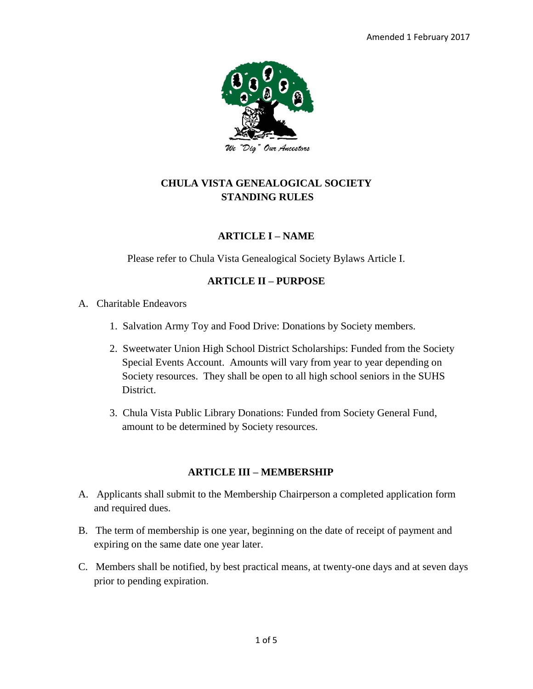

# **CHULA VISTA GENEALOGICAL SOCIETY STANDING RULES**

#### **ARTICLE I – NAME**

Please refer to Chula Vista Genealogical Society Bylaws Article I.

#### **ARTICLE II – PURPOSE**

A. Charitable Endeavors

- 1. Salvation Army Toy and Food Drive: Donations by Society members.
- 2. Sweetwater Union High School District Scholarships: Funded from the Society Special Events Account. Amounts will vary from year to year depending on Society resources. They shall be open to all high school seniors in the SUHS District.
- 3. Chula Vista Public Library Donations: Funded from Society General Fund, amount to be determined by Society resources.

#### **ARTICLE III – MEMBERSHIP**

- A. Applicants shall submit to the Membership Chairperson a completed application form and required dues.
- B. The term of membership is one year, beginning on the date of receipt of payment and expiring on the same date one year later.
- C. Members shall be notified, by best practical means, at twenty-one days and at seven days prior to pending expiration.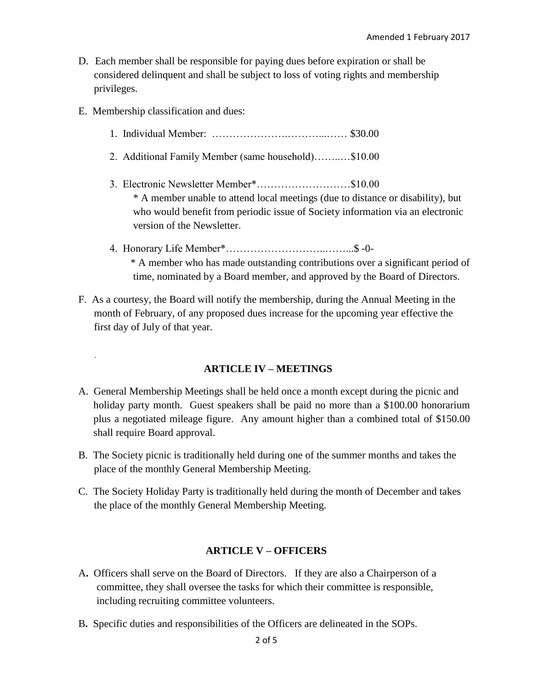- D. Each member shall be responsible for paying dues before expiration or shall be considered delinquent and shall be subject to loss of voting rights and membership privileges.
- E. Membership classification and dues:

.

- 1. Individual Member: ………………….………...…… \$30.00
- 2. Additional Family Member (same household)……..…\$10.00
- 3. Electronic Newsletter Member\*………………………\$10.00 \* A member unable to attend local meetings (due to distance or disability), but who would benefit from periodic issue of Society information via an electronic version of the Newsletter.
- 4. Honorary Life Member\*………………………..……...\$ -0- \* A member who has made outstanding contributions over a significant period of time, nominated by a Board member, and approved by the Board of Directors.
- F. As a courtesy, the Board will notify the membership, during the Annual Meeting in the month of February, of any proposed dues increase for the upcoming year effective the first day of July of that year.

#### **ARTICLE IV – MEETINGS**

- A. General Membership Meetings shall be held once a month except during the picnic and holiday party month. Guest speakers shall be paid no more than a \$100.00 honorarium plus a negotiated mileage figure. Any amount higher than a combined total of \$150.00 shall require Board approval.
- B. The Society picnic is traditionally held during one of the summer months and takes the place of the monthly General Membership Meeting.
- C. The Society Holiday Party is traditionally held during the month of December and takes the place of the monthly General Membership Meeting.

#### **ARTICLE V – OFFICERS**

- A**.** Officers shall serve on the Board of Directors. If they are also a Chairperson of a committee, they shall oversee the tasks for which their committee is responsible, including recruiting committee volunteers.
- B**.** Specific duties and responsibilities of the Officers are delineated in the SOPs.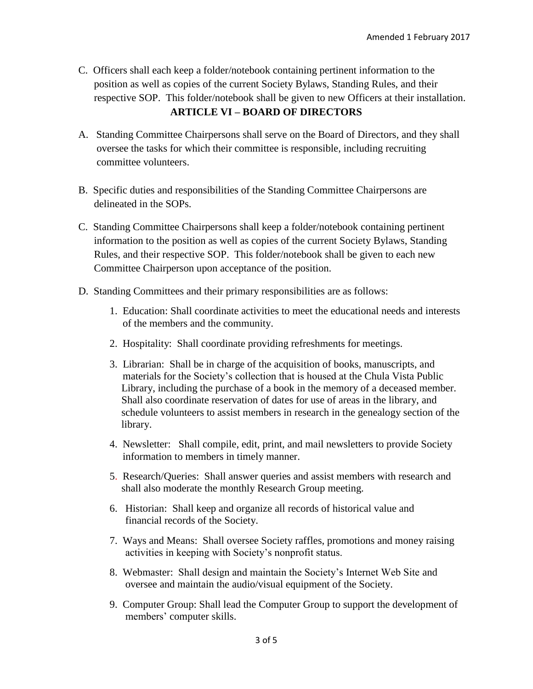- C. Officers shall each keep a folder/notebook containing pertinent information to the position as well as copies of the current Society Bylaws, Standing Rules, and their respective SOP. This folder/notebook shall be given to new Officers at their installation. **ARTICLE VI – BOARD OF DIRECTORS**
- A. Standing Committee Chairpersons shall serve on the Board of Directors, and they shall oversee the tasks for which their committee is responsible, including recruiting committee volunteers.
- B. Specific duties and responsibilities of the Standing Committee Chairpersons are delineated in the SOPs.
- C. Standing Committee Chairpersons shall keep a folder/notebook containing pertinent information to the position as well as copies of the current Society Bylaws, Standing Rules, and their respective SOP. This folder/notebook shall be given to each new Committee Chairperson upon acceptance of the position.
- D. Standing Committees and their primary responsibilities are as follows:
	- 1. Education: Shall coordinate activities to meet the educational needs and interests of the members and the community.
	- 2. Hospitality:Shall coordinate providing refreshments for meetings.
	- 3. Librarian: Shall be in charge of the acquisition of books, manuscripts, and materials for the Society's collection that is housed at the Chula Vista Public Library, including the purchase of a book in the memory of a deceased member. Shall also coordinate reservation of dates for use of areas in the library, and schedule volunteers to assist members in research in the genealogy section of the library.
	- 4. Newsletter:Shall compile, edit, print, and mail newsletters to provide Society information to members in timely manner.
	- 5. Research/Queries: Shall answer queries and assist members with research and shall also moderate the monthly Research Group meeting.
	- 6. Historian:Shall keep and organize all records of historical value and financial records of the Society.
	- 7. Ways and Means: Shall oversee Society raffles, promotions and money raising activities in keeping with Society's nonprofit status.
	- 8. Webmaster:Shall design and maintain the Society's Internet Web Site and oversee and maintain the audio/visual equipment of the Society.
	- 9. Computer Group: Shall lead the Computer Group to support the development of members' computer skills.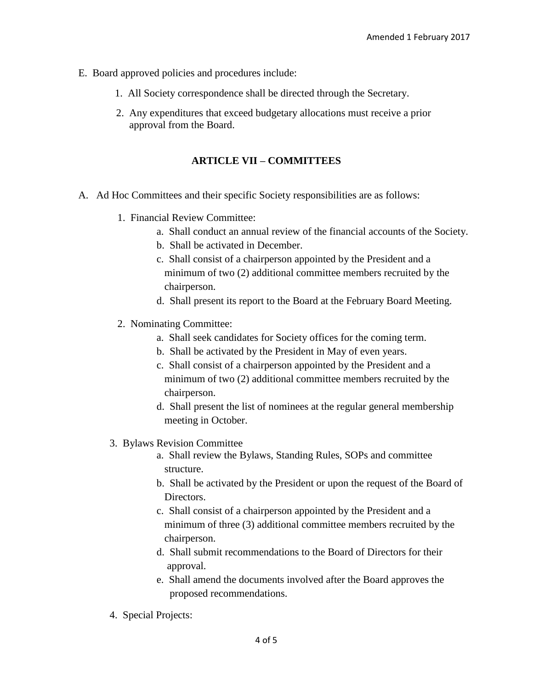- E. Board approved policies and procedures include:
	- 1. All Society correspondence shall be directed through the Secretary.
	- 2. Any expenditures that exceed budgetary allocations must receive a prior approval from the Board.

#### **ARTICLE VII – COMMITTEES**

- A. Ad Hoc Committees and their specific Society responsibilities are as follows:
	- 1. Financial Review Committee:
		- a. Shall conduct an annual review of the financial accounts of the Society.
		- b. Shall be activated in December.
		- c. Shall consist of a chairperson appointed by the President and a minimum of two (2) additional committee members recruited by the chairperson.
		- d. Shall present its report to the Board at the February Board Meeting.
	- 2. Nominating Committee:
		- a. Shall seek candidates for Society offices for the coming term.
		- b. Shall be activated by the President in May of even years.
		- c. Shall consist of a chairperson appointed by the President and a minimum of two (2) additional committee members recruited by the chairperson.
		- d. Shall present the list of nominees at the regular general membership meeting in October.
	- 3. Bylaws Revision Committee
		- a. Shall review the Bylaws, Standing Rules, SOPs and committee structure.
		- b. Shall be activated by the President or upon the request of the Board of Directors.
		- c. Shall consist of a chairperson appointed by the President and a minimum of three (3) additional committee members recruited by the chairperson.
		- d. Shall submit recommendations to the Board of Directors for their approval.
		- e. Shall amend the documents involved after the Board approves the proposed recommendations.
	- 4. Special Projects: